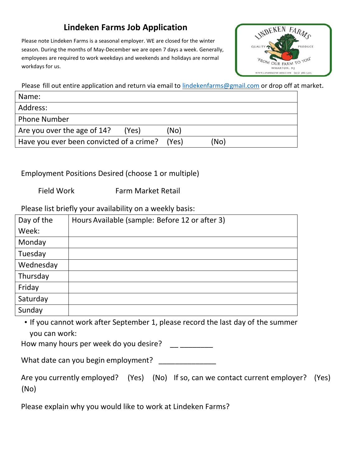#### **Lindeken Farms Job Application**

Please note Lindeken Farms is a seasonal employer. WE are closed for the winter season. During the months of May-December we are open 7 days a week. Generally, employees are required to work weekdays and weekends and holidays are normal workdays for us.



Please fill out entire application and return via email to *lindekenfarms@gmail.com* or drop off at market.

| Name:                                    |       |      |
|------------------------------------------|-------|------|
| Address:                                 |       |      |
| <b>Phone Number</b>                      |       |      |
| Are you over the age of 14?<br>(Yes)     | (No   |      |
| Have you ever been convicted of a crime? | (Yes) | (No) |

Employment Positions Desired (choose 1 or multiple)

Field Work Farm Market Retail

Please list briefly your availability on a weekly basis:

| Day of the | Hours Available (sample: Before 12 or after 3) |
|------------|------------------------------------------------|
| Week:      |                                                |
| Monday     |                                                |
| Tuesday    |                                                |
| Wednesday  |                                                |
| Thursday   |                                                |
| Friday     |                                                |
| Saturday   |                                                |
| Sunday     |                                                |

• If you cannot work after September 1, please record the last day of the summer you can work:

How many hours per week do you desire?

What date can you begin employment?

|                   |  | Are you currently employed? (Yes) (No) If so, can we contact current employer? (Yes) |  |
|-------------------|--|--------------------------------------------------------------------------------------|--|
| (N <sub>O</sub> ) |  |                                                                                      |  |

Please explain why you would like to work at Lindeken Farms?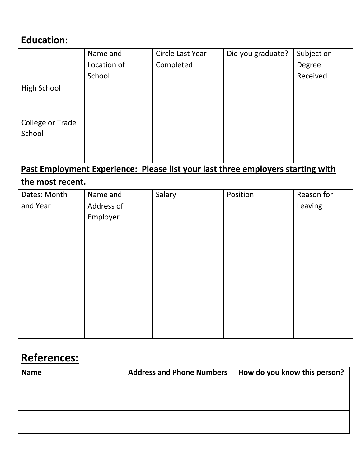## **Education**:

|                         | Name and    | Circle Last Year | Did you graduate? | Subject or |
|-------------------------|-------------|------------------|-------------------|------------|
|                         | Location of | Completed        |                   | Degree     |
|                         | School      |                  |                   | Received   |
| <b>High School</b>      |             |                  |                   |            |
|                         |             |                  |                   |            |
|                         |             |                  |                   |            |
| <b>College or Trade</b> |             |                  |                   |            |
| School                  |             |                  |                   |            |
|                         |             |                  |                   |            |
|                         |             |                  |                   |            |

## **Past Employment Experience: Please list your last three employers starting with**

## **the most recent.**

| Dates: Month | Name and   | Salary | Position | Reason for |
|--------------|------------|--------|----------|------------|
| and Year     | Address of |        |          | Leaving    |
|              | Employer   |        |          |            |
|              |            |        |          |            |
|              |            |        |          |            |
|              |            |        |          |            |
|              |            |        |          |            |
|              |            |        |          |            |
|              |            |        |          |            |
|              |            |        |          |            |
|              |            |        |          |            |
|              |            |        |          |            |
|              |            |        |          |            |

# **References:**

| <b>Name</b> | <b>Address and Phone Numbers</b> | How do you know this person? |
|-------------|----------------------------------|------------------------------|
|             |                                  |                              |
|             |                                  |                              |
|             |                                  |                              |